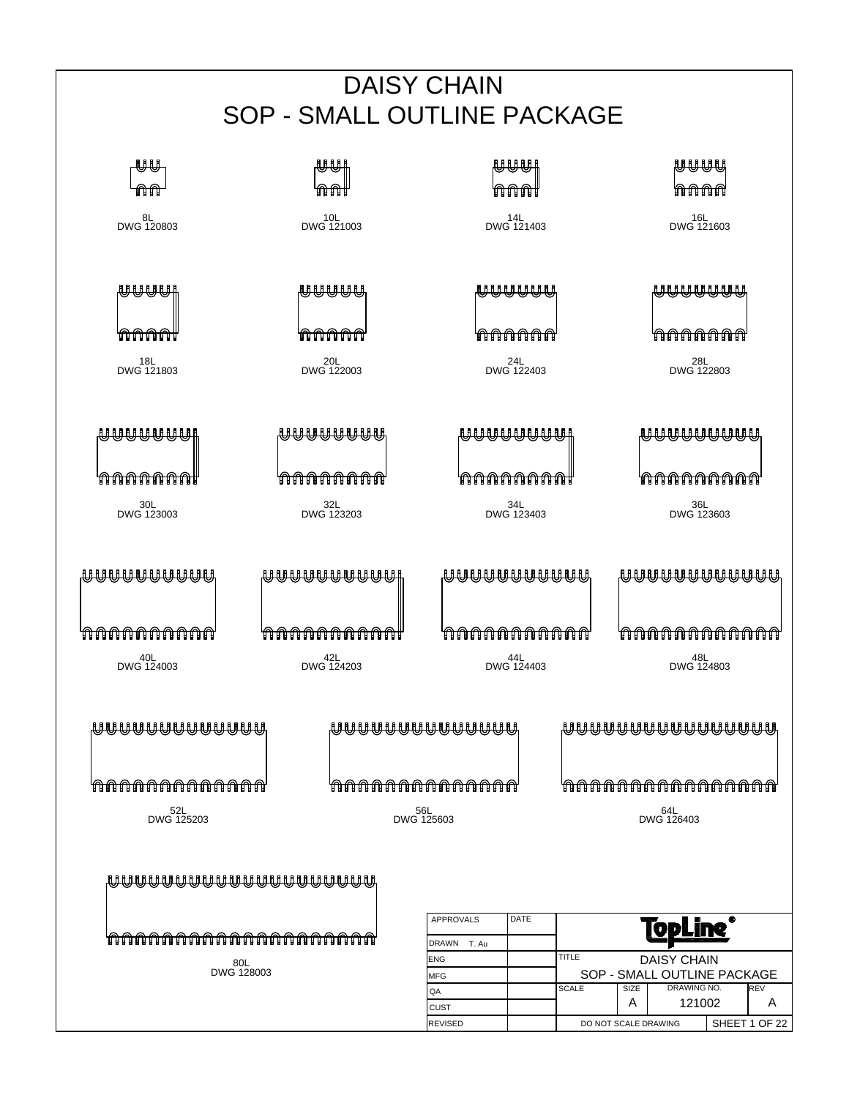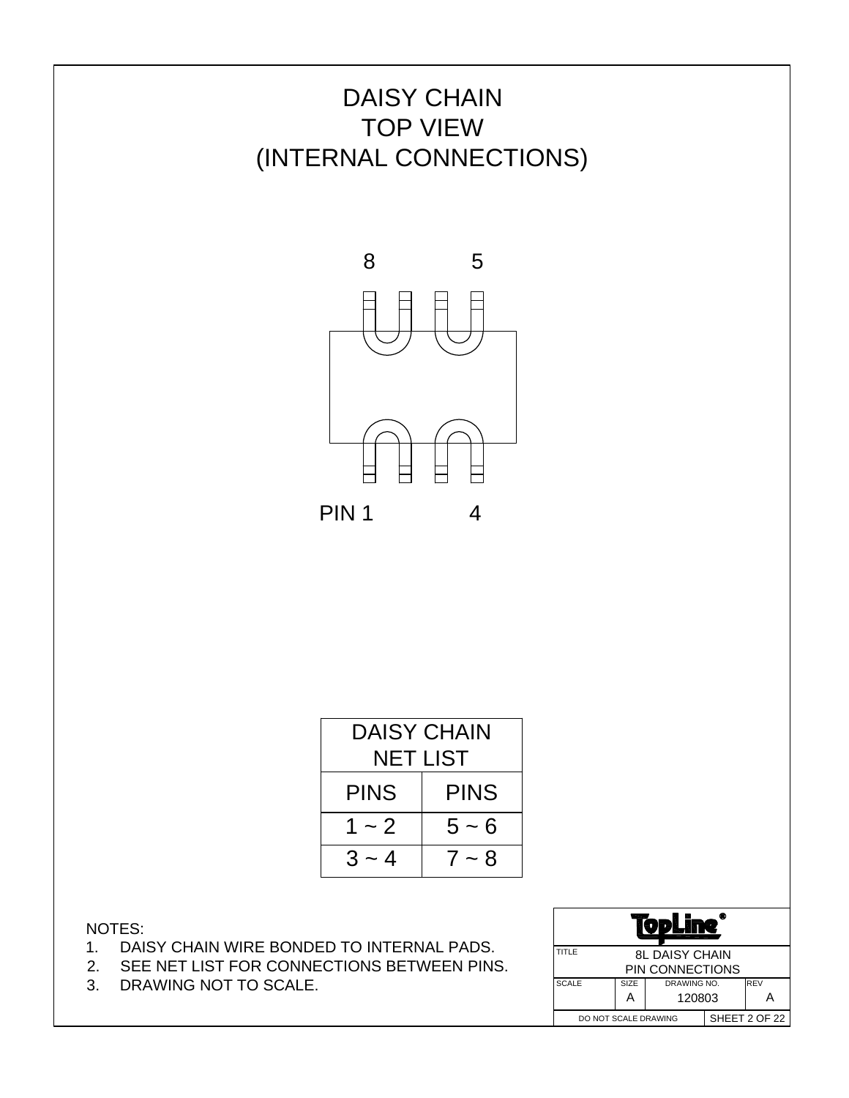

| DAISY CHAIN                |         |  |  |  |  |
|----------------------------|---------|--|--|--|--|
| NET LIST                   |         |  |  |  |  |
| <b>PINS</b><br><b>PINS</b> |         |  |  |  |  |
| $1 - 2$                    | $5 - 6$ |  |  |  |  |
| $3 - 4$                    | $7 - 8$ |  |  |  |  |

- 1. DAISY CHAIN WIRE BONDED TO INTERNAL PADS.
- 2. SEE NET LIST FOR CONNECTIONS BETWEEN PINS.
- 3. DRAWING NOT TO SCALE.

| ◉                                     |                                     |                 |  |  |
|---------------------------------------|-------------------------------------|-----------------|--|--|
| TITLE                                 | <b>8L DAISY CHAIN</b>               |                 |  |  |
|                                       |                                     | PIN CONNECTIONS |  |  |
| <b>SCALE</b>                          | <b>I</b> REV<br>SIZE<br>DRAWING NO. |                 |  |  |
| 120803<br>A                           |                                     |                 |  |  |
| SHEET 2 OF 22<br>DO NOT SCALE DRAWING |                                     |                 |  |  |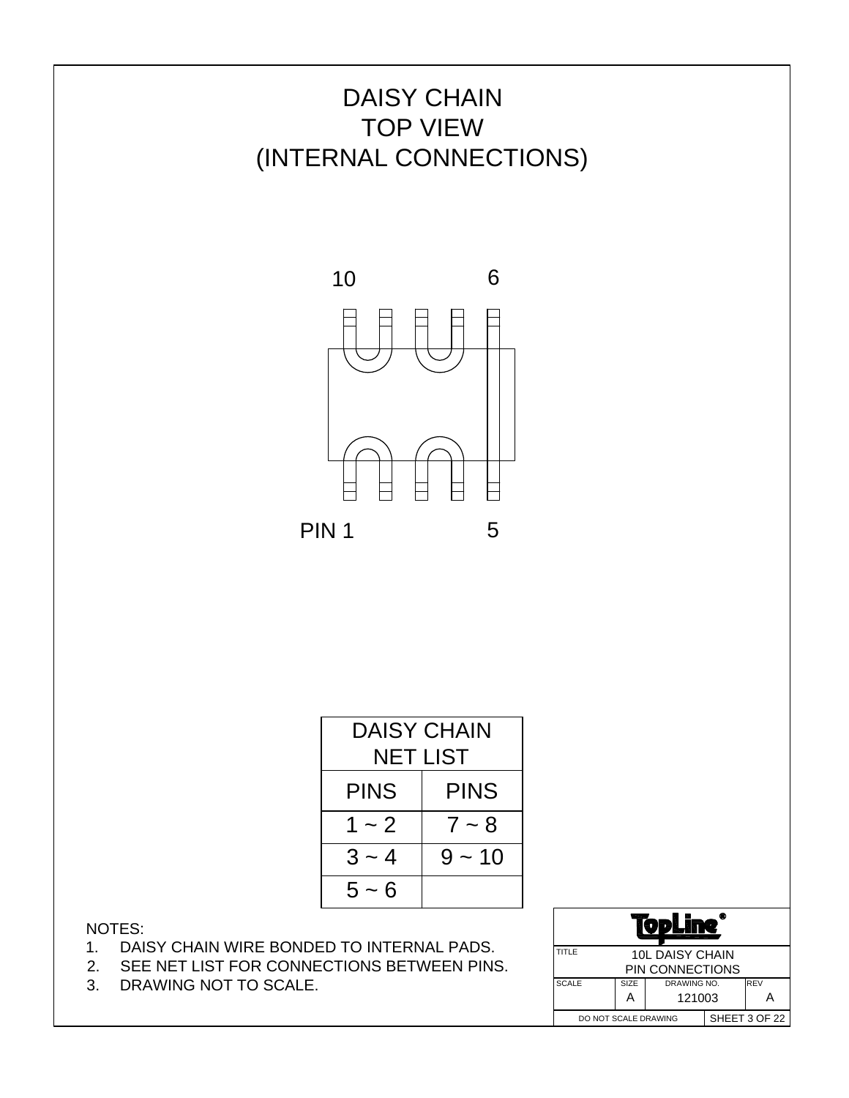

| DAISY CHAIN                |  |  |  |  |  |  |
|----------------------------|--|--|--|--|--|--|
| NET LIST                   |  |  |  |  |  |  |
| <b>PINS</b><br><b>PINS</b> |  |  |  |  |  |  |
| 1 ~ 2<br>$7 - 8$           |  |  |  |  |  |  |
| $3 - 4$<br>$9 - 10$        |  |  |  |  |  |  |
| $5 - 6$                    |  |  |  |  |  |  |

- 1. DAISY CHAIN WIRE BONDED TO INTERNAL PADS.
- 2. SEE NET LIST FOR CONNECTIONS BETWEEN PINS.
- 3. DRAWING NOT TO SCALE.

| ⋒<br>$\mathbf{v}$                     |                                     |                 |  |  |  |
|---------------------------------------|-------------------------------------|-----------------|--|--|--|
| TITLE                                 | <b>10L DAISY CHAIN</b>              |                 |  |  |  |
|                                       |                                     | PIN CONNECTIONS |  |  |  |
| <b>SCALE</b>                          | <b>I</b> REV<br>SIZE<br>DRAWING NO. |                 |  |  |  |
| 121003<br>A<br>А                      |                                     |                 |  |  |  |
| SHEET 3 OF 22<br>DO NOT SCALE DRAWING |                                     |                 |  |  |  |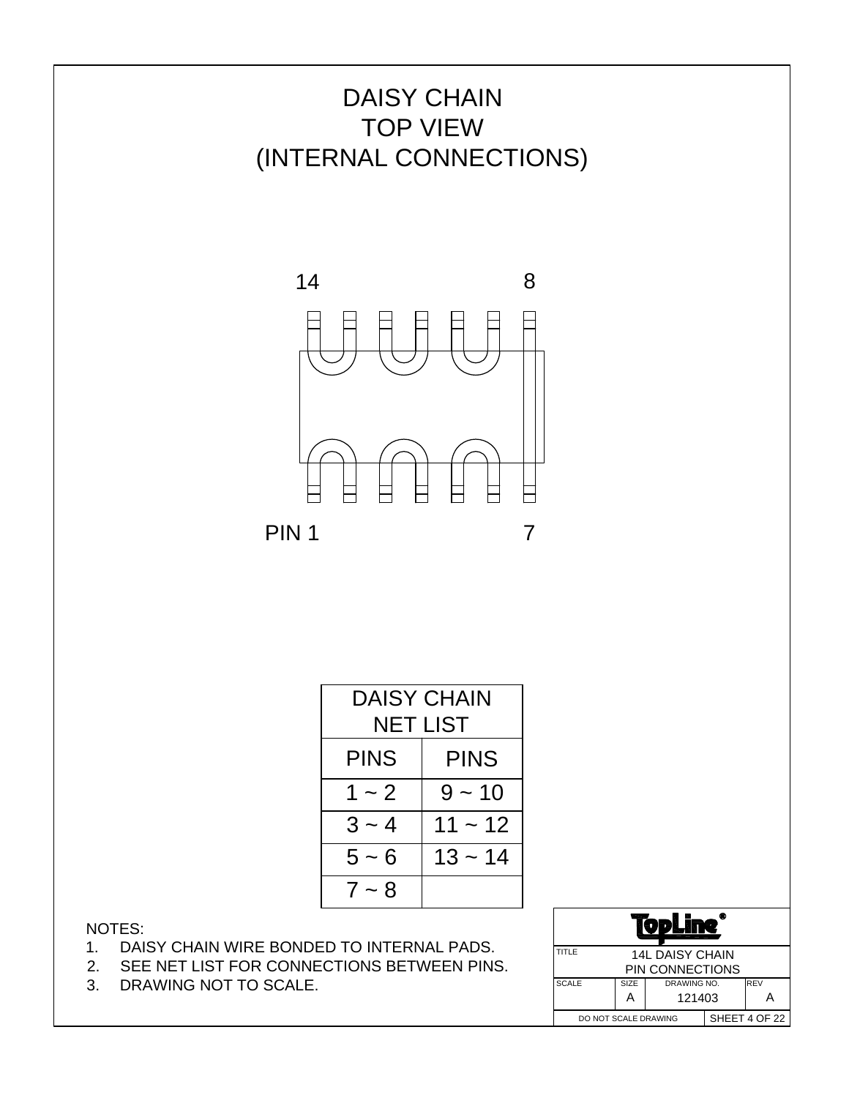



| DAISY CHAIN<br><b>NET LIST</b> |           |  |  |  |  |
|--------------------------------|-----------|--|--|--|--|
| <b>PINS</b><br><b>PINS</b>     |           |  |  |  |  |
| $1 - 2$                        | $9 - 10$  |  |  |  |  |
| $3 - 4$                        | $11 - 12$ |  |  |  |  |
| $5 - 6$                        | $13 - 14$ |  |  |  |  |
| $7 - 8$                        |           |  |  |  |  |

- 1. DAISY CHAIN WIRE BONDED TO INTERNAL PADS.
- 2. SEE NET LIST FOR CONNECTIONS BETWEEN PINS.
- 3. DRAWING NOT TO SCALE.

|                                       | Ф<br>D                            |  |  |  |
|---------------------------------------|-----------------------------------|--|--|--|
| <b>TITLE</b>                          | <b>14L DAISY CHAIN</b>            |  |  |  |
|                                       | PIN CONNECTIONS                   |  |  |  |
| <b>SCALE</b>                          | <b>REV</b><br>SIZE<br>DRAWING NO. |  |  |  |
|                                       | 121403<br>A                       |  |  |  |
| SHEET 4 OF 22<br>DO NOT SCALE DRAWING |                                   |  |  |  |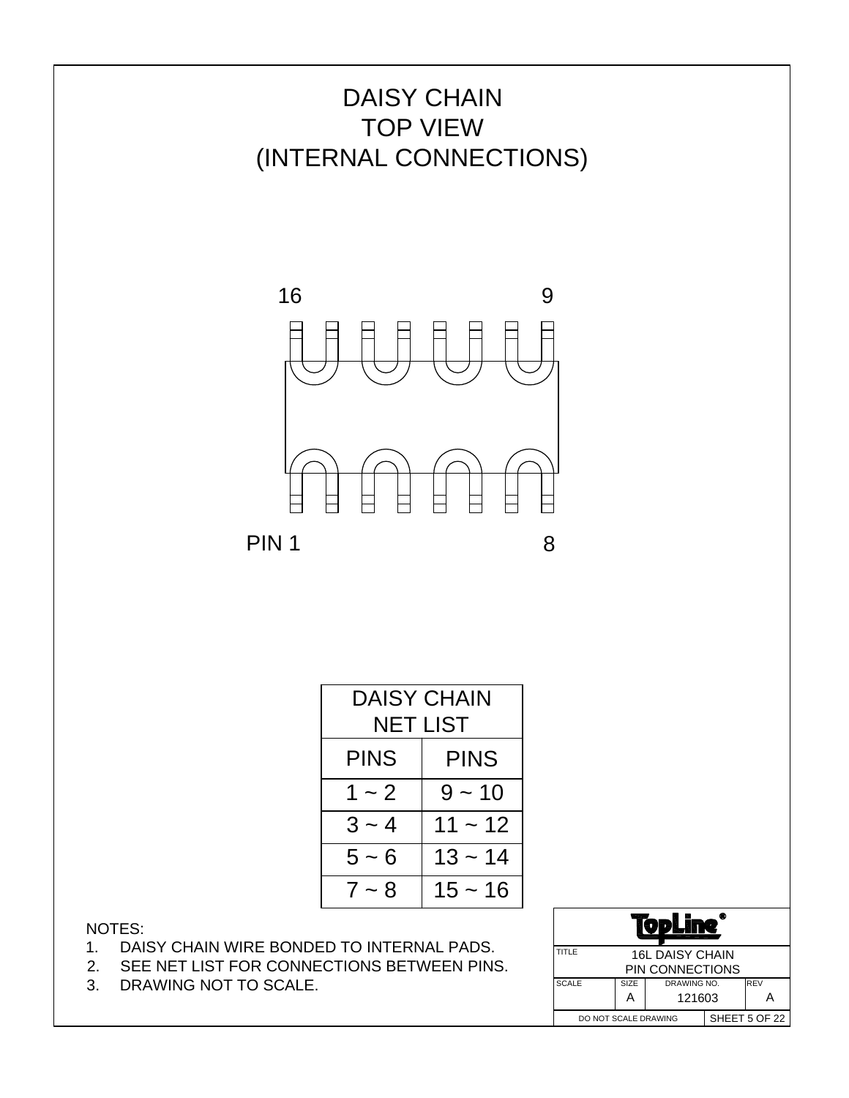



| DAISY CHAIN<br>NET LIST    |           |  |  |  |
|----------------------------|-----------|--|--|--|
| <b>PINS</b><br><b>PINS</b> |           |  |  |  |
| $9 - 10$<br>$1 - 2$        |           |  |  |  |
| $3 - 4$<br>$11 - 12$       |           |  |  |  |
| $5 - 6$                    | $13 - 14$ |  |  |  |
| $7 - 8$                    | $15 - 16$ |  |  |  |

- 1. DAISY CHAIN WIRE BONDED TO INTERNAL PADS.
- 2. SEE NET LIST FOR CONNECTIONS BETWEEN PINS.
- 3. DRAWING NOT TO SCALE.

| Ф<br>VР                               |                                   |        |  |  |
|---------------------------------------|-----------------------------------|--------|--|--|
| TITLE                                 | <b>16L DAISY CHAIN</b>            |        |  |  |
|                                       | PIN CONNECTIONS                   |        |  |  |
| <b>SCALE</b>                          | <b>REV</b><br>SIZE<br>DRAWING NO. |        |  |  |
|                                       | А                                 | 121603 |  |  |
| SHEET 5 OF 22<br>DO NOT SCALE DRAWING |                                   |        |  |  |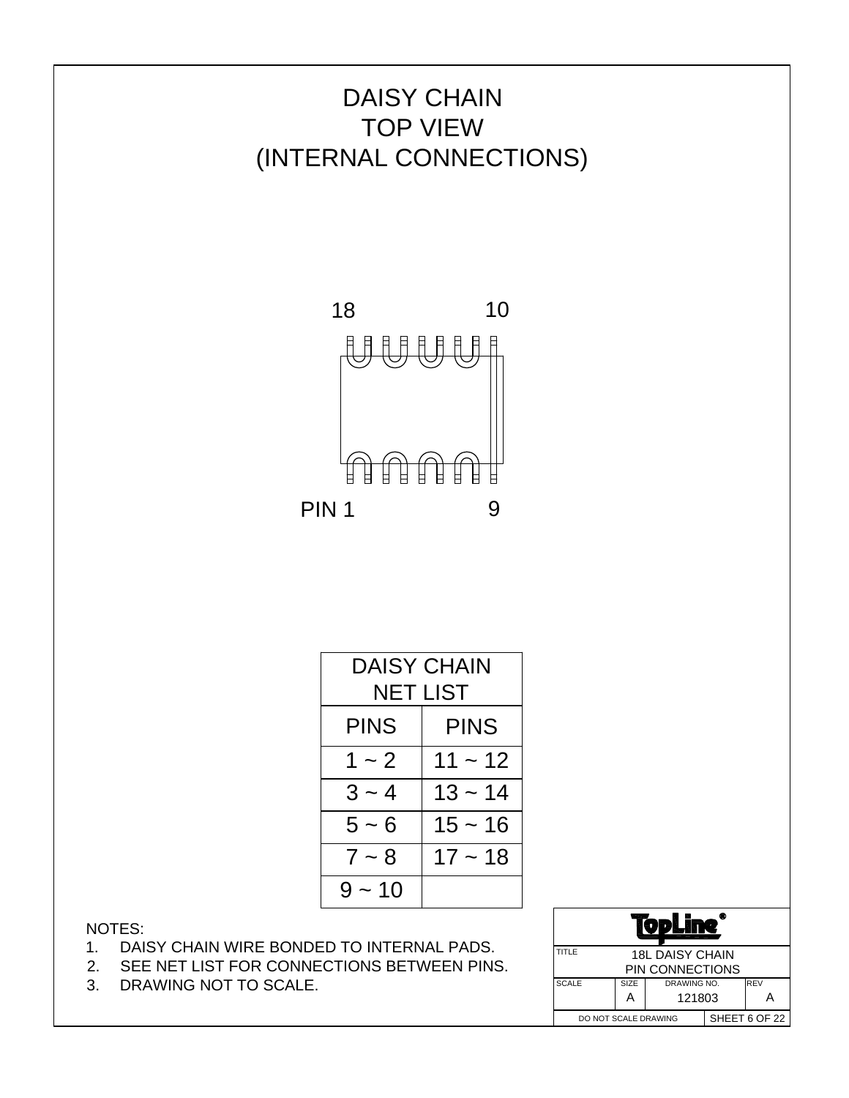

| DAISY CHAIN<br>NET LIST    |           |  |  |  |  |
|----------------------------|-----------|--|--|--|--|
| <b>PINS</b><br><b>PINS</b> |           |  |  |  |  |
| $1 - 2$                    | $11 - 12$ |  |  |  |  |
| $3 - 4$                    | $13 - 14$ |  |  |  |  |
| $5 - 6$                    | $15 - 16$ |  |  |  |  |
| $17 - 18$<br>$7 - 8$       |           |  |  |  |  |
| $9 - 10$                   |           |  |  |  |  |

- 1. DAISY CHAIN WIRE BONDED TO INTERNAL PADS.
- 2. SEE NET LIST FOR CONNECTIONS BETWEEN PINS.
- 3. DRAWING NOT TO SCALE.

| œ<br>D                                |                            |                 |  |  |
|---------------------------------------|----------------------------|-----------------|--|--|
| TITLE                                 | <b>18L DAISY CHAIN</b>     |                 |  |  |
|                                       |                            | PIN CONNECTIONS |  |  |
| <b>SCALE</b>                          | REV<br>SIZE<br>DRAWING NO. |                 |  |  |
|                                       | А                          | 121803          |  |  |
| SHEET 6 OF 22<br>DO NOT SCALE DRAWING |                            |                 |  |  |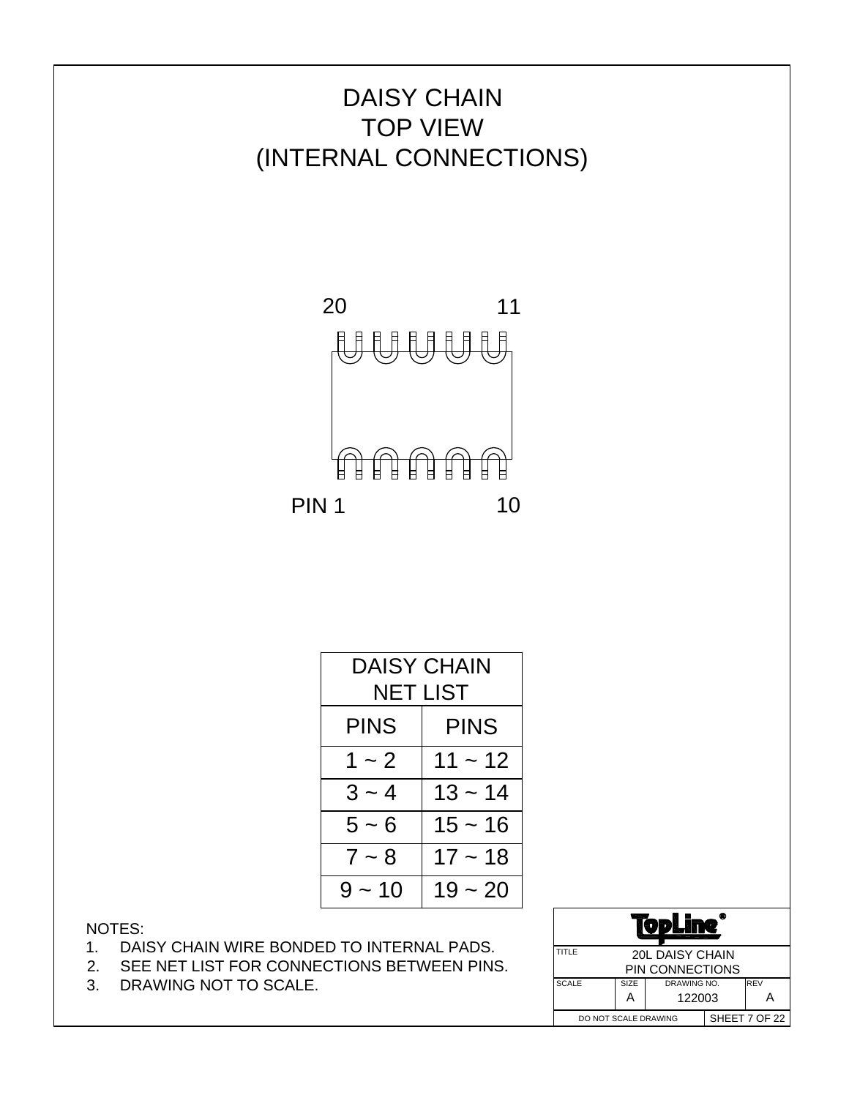

| DAISY CHAIN<br>NET LIST |           |  |  |  |  |
|-------------------------|-----------|--|--|--|--|
| PINS<br><b>PINS</b>     |           |  |  |  |  |
| $1 - 2$                 | $11 - 12$ |  |  |  |  |
| $3 - 4$                 | $13 - 14$ |  |  |  |  |
| $5 - 6$                 | $15 - 16$ |  |  |  |  |
| $7 - 8$                 | $17 - 18$ |  |  |  |  |
| $9 - 10$                | 19 ~ 20   |  |  |  |  |

- 1. DAISY CHAIN WIRE BONDED TO INTERNAL PADS.
- 2. SEE NET LIST FOR CONNECTIONS BETWEEN PINS.
- 3. DRAWING NOT TO SCALE.

|              | Ф<br>JΣ                               |                                     |        |  |  |
|--------------|---------------------------------------|-------------------------------------|--------|--|--|
|              | TITLE<br><b>20L DAISY CHAIN</b>       |                                     |        |  |  |
|              | PIN CONNECTIONS                       |                                     |        |  |  |
| <b>SCALE</b> |                                       | <b>I</b> REV<br>SIZE<br>DRAWING NO. |        |  |  |
|              |                                       | А                                   | 122003 |  |  |
|              | SHEET 7 OF 22<br>DO NOT SCALE DRAWING |                                     |        |  |  |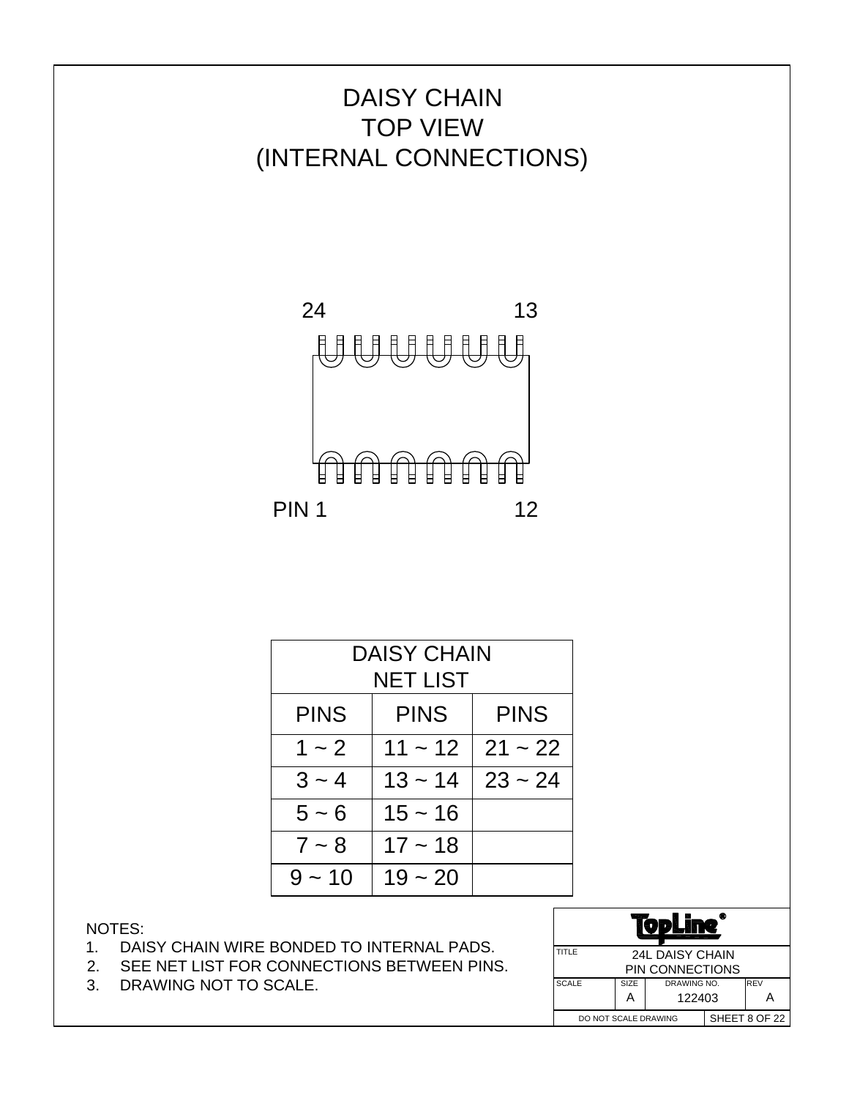

| <b>DAISY CHAIN</b>                        |           |           |  |  |
|-------------------------------------------|-----------|-----------|--|--|
|                                           | NET LIST  |           |  |  |
| <b>PINS</b><br><b>PINS</b><br><b>PINS</b> |           |           |  |  |
| $1 - 2$                                   | $11 - 12$ | $21 - 22$ |  |  |
| $3 - 4$                                   | $13 - 14$ | $23 - 24$ |  |  |
| $5 - 6$                                   | $15 - 16$ |           |  |  |
| $7 - 8$                                   |           |           |  |  |
| $9 - 10$                                  | $19 - 20$ |           |  |  |

- 1. DAISY CHAIN WIRE BONDED TO INTERNAL PADS.
- 2. SEE NET LIST FOR CONNECTIONS BETWEEN PINS.
- 3. DRAWING NOT TO SCALE.

| ٧                                                  |             |             |  |               |
|----------------------------------------------------|-------------|-------------|--|---------------|
| TITLE<br><b>24L DAISY CHAIN</b><br>PIN CONNECTIONS |             |             |  |               |
|                                                    |             |             |  |               |
| <b>SCALE</b>                                       | <b>SIZE</b> | DRAWING NO. |  | <b>REV</b>    |
| 122403<br>А                                        |             |             |  |               |
| DO NOT SCALE DRAWING                               |             |             |  | SHEET 8 OF 22 |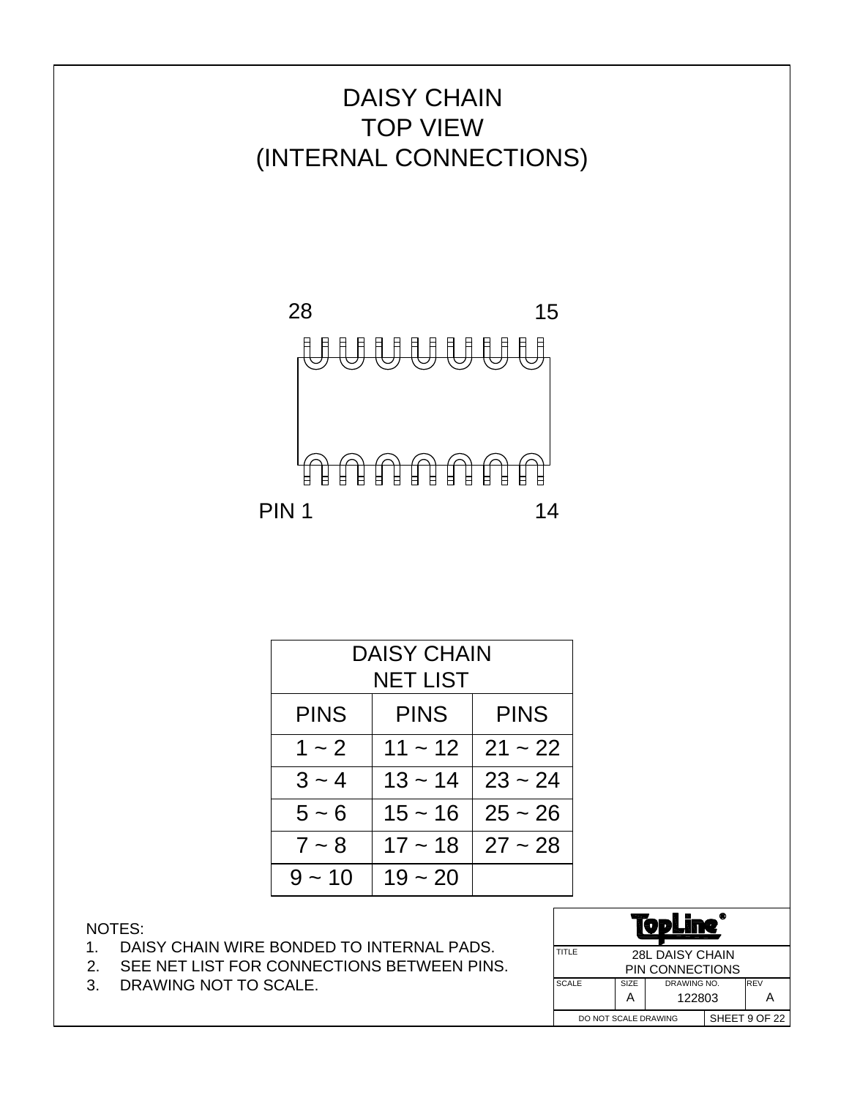

| <b>DAISY CHAIN</b><br>NET LIST            |           |           |  |  |  |
|-------------------------------------------|-----------|-----------|--|--|--|
| <b>PINS</b><br><b>PINS</b><br><b>PINS</b> |           |           |  |  |  |
| $1 - 2$                                   | $11 - 12$ | $21 - 22$ |  |  |  |
| $3 - 4$                                   | $13 - 14$ | $23 - 24$ |  |  |  |
| $5 \sim 6$                                | $15 - 16$ | $25 - 26$ |  |  |  |
| $7 - 8$                                   | $17 - 18$ | $27 - 28$ |  |  |  |
| $9 - 10$                                  | $19 - 20$ |           |  |  |  |

- 1. DAISY CHAIN WIRE BONDED TO INTERNAL PADS.
- 2. SEE NET LIST FOR CONNECTIONS BETWEEN PINS.
- 3. DRAWING NOT TO SCALE.

| TITLE<br><b>28L DAISY CHAIN</b>     |  |  |  |               |
|-------------------------------------|--|--|--|---------------|
| PIN CONNECTIONS                     |  |  |  |               |
| <b>SCALE</b><br>SIZE<br>DRAWING NO. |  |  |  | <b>REV</b>    |
| 122803<br>А                         |  |  |  |               |
| DO NOT SCALE DRAWING                |  |  |  | SHEET 9 OF 22 |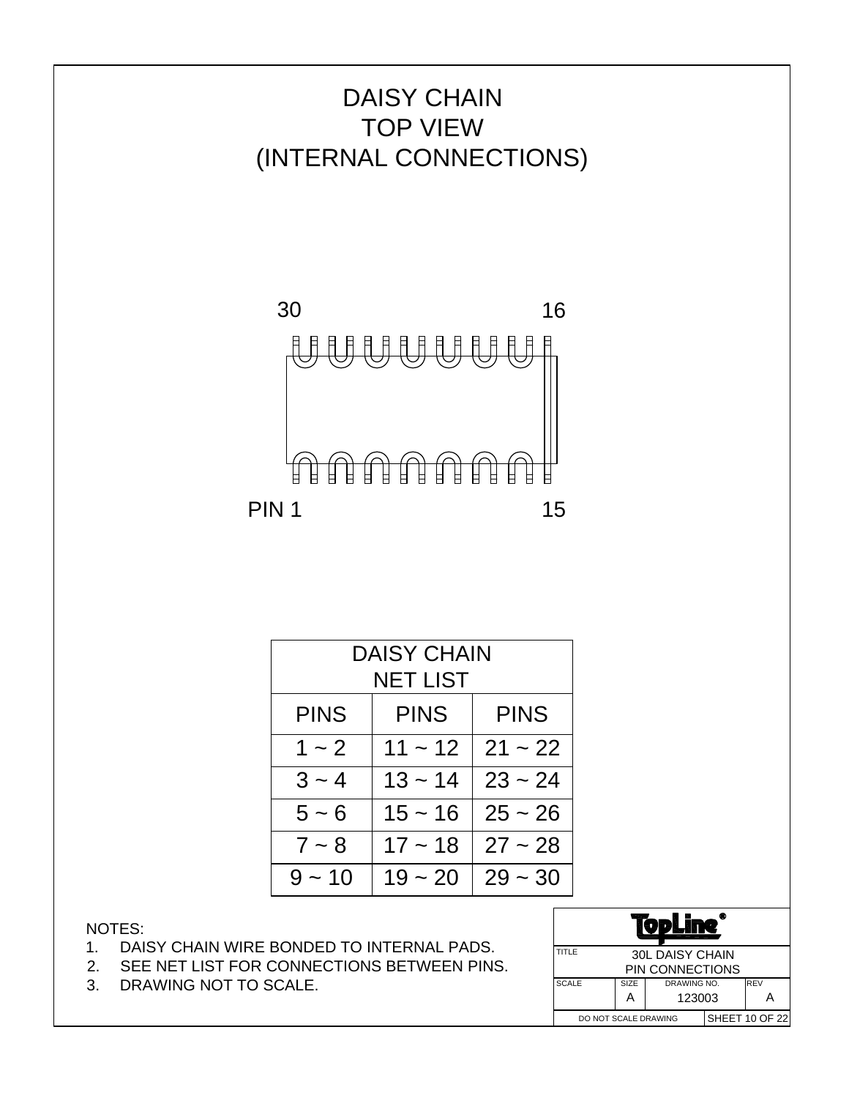

| <b>DAISY CHAIN</b>                        |           |           |  |  |
|-------------------------------------------|-----------|-----------|--|--|
|                                           | NET LIST  |           |  |  |
| <b>PINS</b><br><b>PINS</b><br><b>PINS</b> |           |           |  |  |
| $1 - 2$                                   | $11 - 12$ | $21 - 22$ |  |  |
| $3 - 4$                                   | $13 - 14$ | $23 - 24$ |  |  |
| $5 - 6$                                   | $15 - 16$ | $25 - 26$ |  |  |
| $7 - 8$                                   | $17 - 18$ | $27 - 28$ |  |  |
| $9 - 10$                                  | $19 - 20$ | $29 - 30$ |  |  |

- 1. DAISY CHAIN WIRE BONDED TO INTERNAL PADS.
- 2. SEE NET LIST FOR CONNECTIONS BETWEEN PINS.
- 3. DRAWING NOT TO SCALE.

| VDL                                 |  |                 |  |                |
|-------------------------------------|--|-----------------|--|----------------|
| TITLE<br><b>30L DAISY CHAIN</b>     |  |                 |  |                |
|                                     |  | PIN CONNECTIONS |  |                |
| <b>SCALE</b><br>SIZE<br>DRAWING NO. |  |                 |  | <b>REV</b>     |
| 123003<br>А                         |  |                 |  |                |
| DO NOT SCALE DRAWING                |  |                 |  | SHEET 10 OF 22 |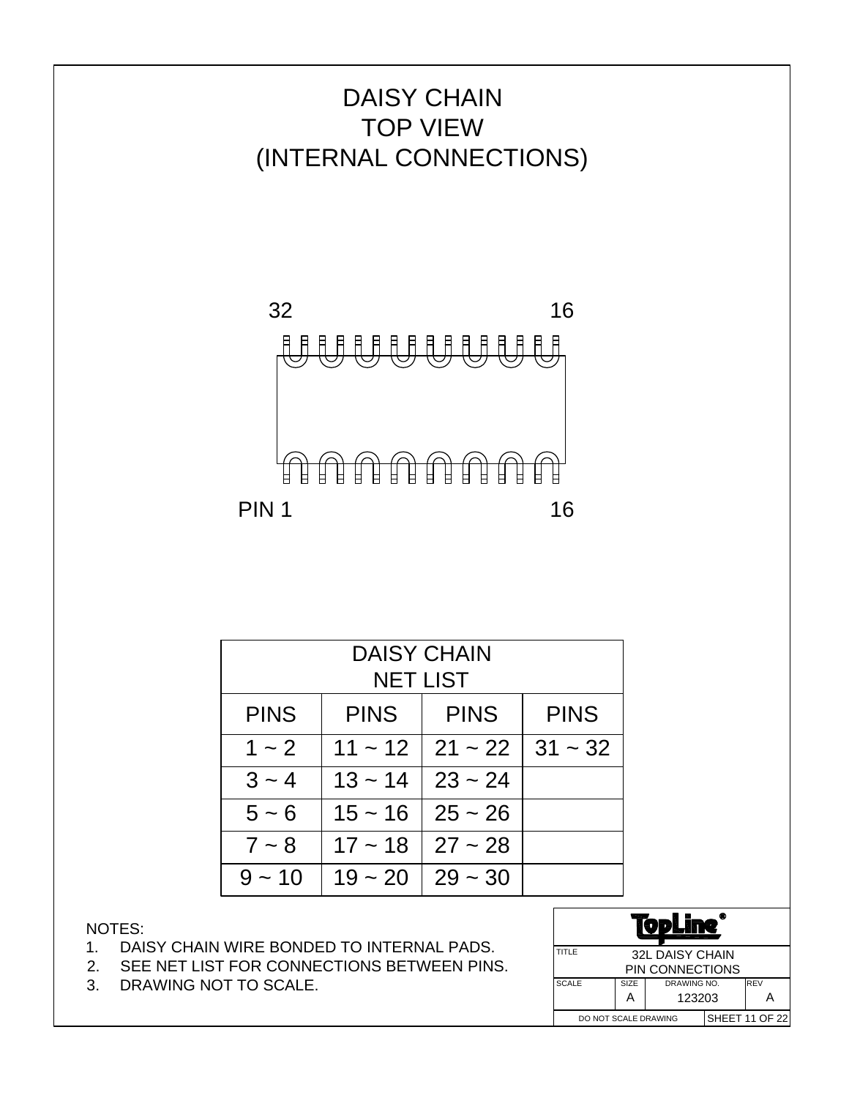

| <b>DAISY CHAIN</b><br><b>NET LIST</b> |                            |           |           |  |  |  |
|---------------------------------------|----------------------------|-----------|-----------|--|--|--|
|                                       |                            |           |           |  |  |  |
| <b>PINS</b>                           | <b>PINS</b><br><b>PINS</b> |           |           |  |  |  |
| $1 - 2$                               | $11 - 12$                  | $21 - 22$ | $31 - 32$ |  |  |  |
| $3 - 4$                               | $13 - 14$                  | $23 - 24$ |           |  |  |  |
| $5 - 6$                               | $15 - 16$                  | $25 - 26$ |           |  |  |  |
| $7 - 8$                               | $17 - 18$                  | $27 - 28$ |           |  |  |  |
| $9 - 10$                              | $19 - 20$                  | $29 - 30$ |           |  |  |  |

- 1. DAISY CHAIN WIRE BONDED TO INTERNAL PADS.
- 2. SEE NET LIST FOR CONNECTIONS BETWEEN PINS.
- 3. DRAWING NOT TO SCALE.

|                      | œ<br>D                 |        |  |                       |
|----------------------|------------------------|--------|--|-----------------------|
| TITLE                | <b>32L DAISY CHAIN</b> |        |  |                       |
|                      | PIN CONNECTIONS        |        |  |                       |
| <b>SCALE</b>         | SIZE<br>DRAWING NO.    |        |  | <b>REV</b>            |
|                      | А                      | 123203 |  |                       |
| DO NOT SCALE DRAWING |                        |        |  | <b>SHEET 11 OF 22</b> |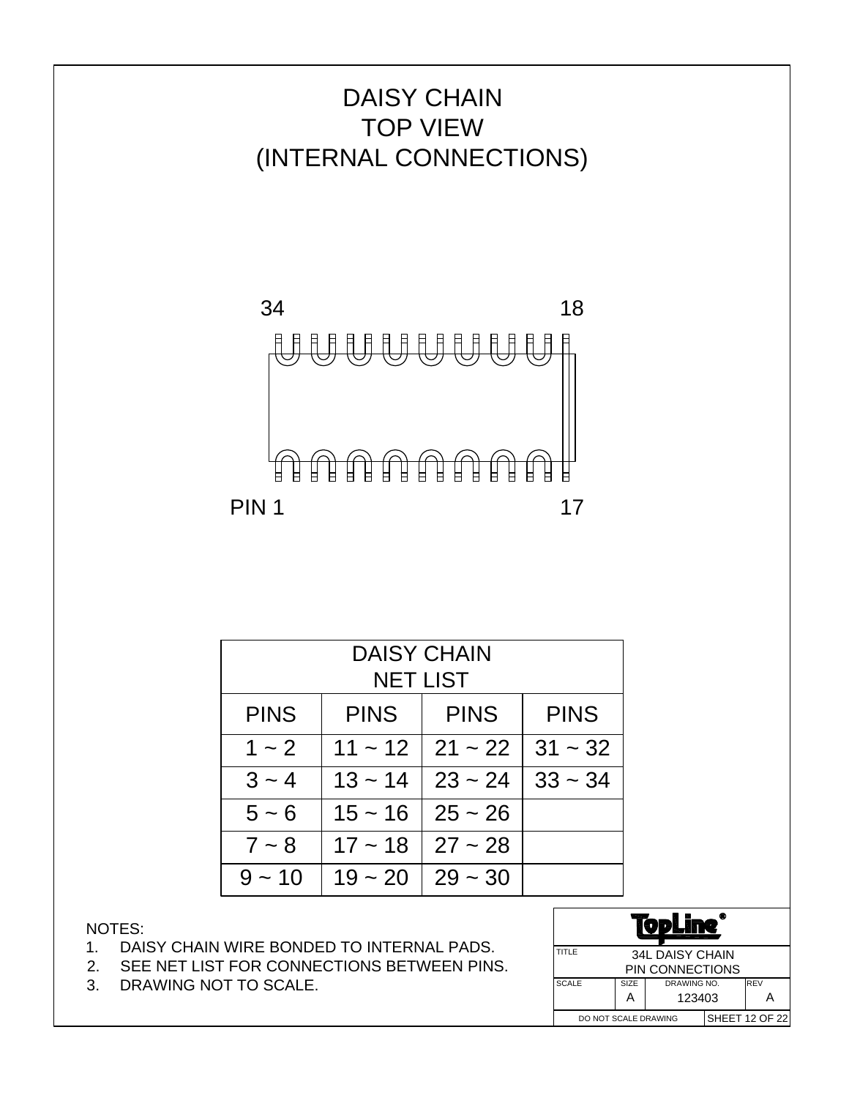

|                                                          | <b>DAISY CHAIN</b> |                 |           |  |  |  |  |
|----------------------------------------------------------|--------------------|-----------------|-----------|--|--|--|--|
|                                                          |                    | <b>NET LIST</b> |           |  |  |  |  |
| <b>PINS</b><br><b>PINS</b><br><b>PINS</b><br><b>PINS</b> |                    |                 |           |  |  |  |  |
| $1 - 2$                                                  | $11 - 12$          | $21 - 22$       | $31 - 32$ |  |  |  |  |
| $3 - 4$                                                  | $13 - 14$          | $23 - 24$       | $33 - 34$ |  |  |  |  |
| $5 - 6$                                                  | $15 - 16$          | $25 - 26$       |           |  |  |  |  |
| $7 - 8$                                                  | $17 - 18$          | $27 - 28$       |           |  |  |  |  |
| $9 - 10$                                                 | $19 - 20$          | $29 - 30$       |           |  |  |  |  |

- 1. DAISY CHAIN WIRE BONDED TO INTERNAL PADS.
- 2. SEE NET LIST FOR CONNECTIONS BETWEEN PINS.
- 3. DRAWING NOT TO SCALE.

| T.                                  |   |                 |  |                       |
|-------------------------------------|---|-----------------|--|-----------------------|
| TITLE<br><b>34L DAISY CHAIN</b>     |   |                 |  |                       |
|                                     |   | PIN CONNECTIONS |  |                       |
| <b>SCALE</b><br>SIZE<br>DRAWING NO. |   |                 |  | <b>REV</b>            |
|                                     | А | 123403          |  |                       |
| DO NOT SCALE DRAWING                |   |                 |  | <b>SHEET 12 OF 22</b> |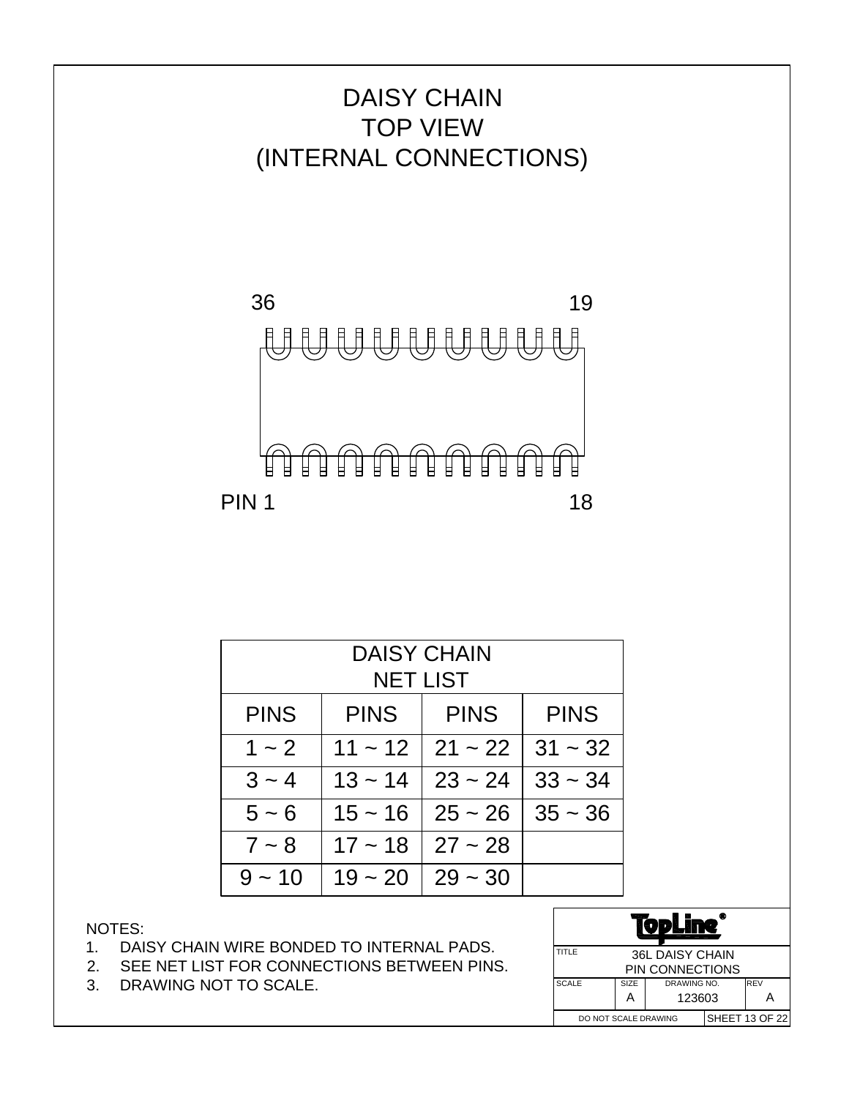

| <b>DAISY CHAIN</b> |             |                 |           |  |  |  |
|--------------------|-------------|-----------------|-----------|--|--|--|
|                    |             | <b>NET LIST</b> |           |  |  |  |
| <b>PINS</b>        | <b>PINS</b> | <b>PINS</b>     |           |  |  |  |
| $1 - 2$            | $11 - 12$   | $21 - 22$       | $31 - 32$ |  |  |  |
| $3 - 4$            | $13 - 14$   | $23 - 24$       | $33 - 34$ |  |  |  |
| $5 - 6$            | $15 - 16$   | $25 - 26$       | $35 - 36$ |  |  |  |
| $7 - 8$            | $17 - 18$   | $27 - 28$       |           |  |  |  |
| $9 - 10$           | $19 - 20$   | $29 - 30$       |           |  |  |  |

- 1. DAISY CHAIN WIRE BONDED TO INTERNAL PADS.
- 2. SEE NET LIST FOR CONNECTIONS BETWEEN PINS.
- 3. DRAWING NOT TO SCALE.

| œ<br>D                              |   |        |            |                       |
|-------------------------------------|---|--------|------------|-----------------------|
| TITLE<br><b>36L DAISY CHAIN</b>     |   |        |            |                       |
| PIN CONNECTIONS                     |   |        |            |                       |
| <b>SCALE</b><br>SIZE<br>DRAWING NO. |   |        | <b>REV</b> |                       |
|                                     | А | 123603 |            |                       |
| DO NOT SCALE DRAWING                |   |        |            | <b>SHEET 13 OF 22</b> |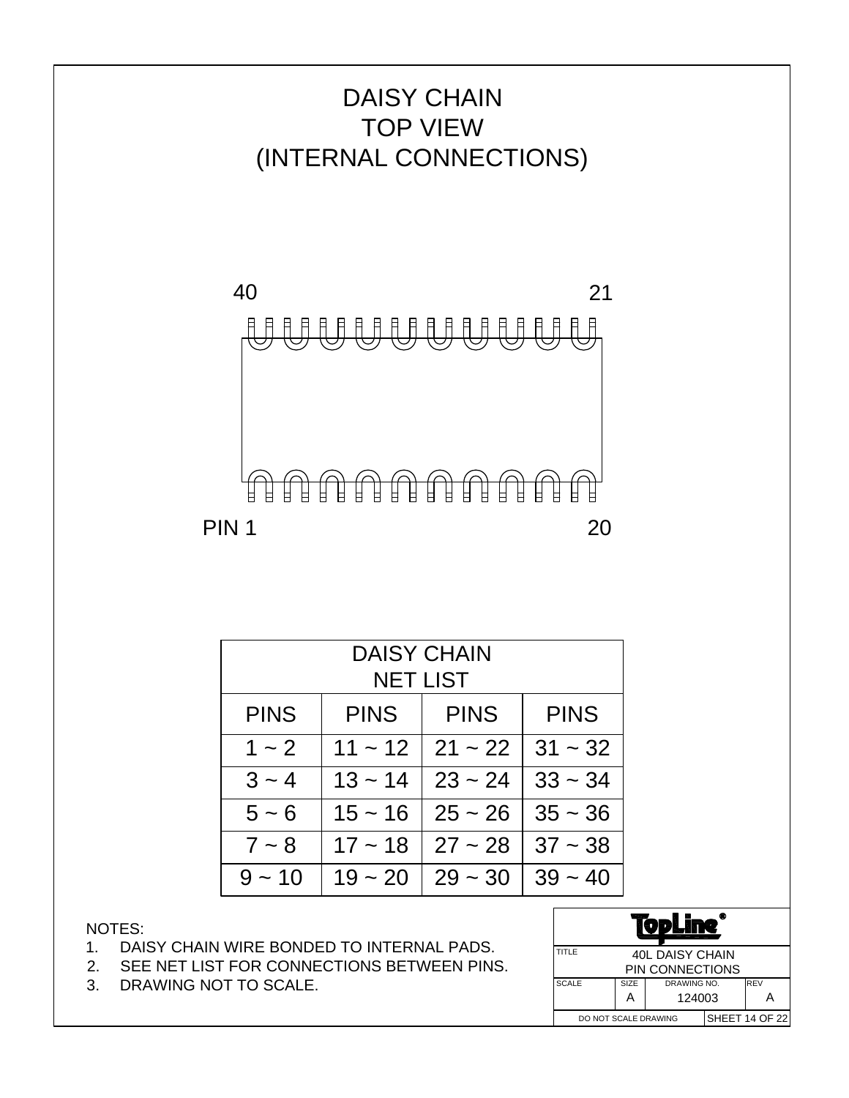



| <b>DAISY CHAIN</b><br><b>NET LIST</b>                    |           |           |           |  |  |  |
|----------------------------------------------------------|-----------|-----------|-----------|--|--|--|
| <b>PINS</b><br><b>PINS</b><br><b>PINS</b><br><b>PINS</b> |           |           |           |  |  |  |
| $1 - 2$                                                  | $11 - 12$ | $21 - 22$ | $31 - 32$ |  |  |  |
| $3 - 4$                                                  | $13 - 14$ | $23 - 24$ | $33 - 34$ |  |  |  |
| $5 - 6$                                                  | $15 - 16$ | $25 - 26$ | $35 - 36$ |  |  |  |
| $7 - 8$                                                  | $17 - 18$ | $27 - 28$ | $37 - 38$ |  |  |  |
| $9 - 10$                                                 | $19 - 20$ | $29 - 30$ | $39 - 40$ |  |  |  |

- 1. DAISY CHAIN WIRE BONDED TO INTERNAL PADS.
- 2. SEE NET LIST FOR CONNECTIONS BETWEEN PINS.
- 3. DRAWING NOT TO SCALE.

|                                 |      | VPL             |  |                |
|---------------------------------|------|-----------------|--|----------------|
| TITLE<br><b>40L DAISY CHAIN</b> |      |                 |  |                |
|                                 |      | PIN CONNECTIONS |  |                |
| <b>SCALE</b>                    | SIZE | DRAWING NO.     |  | <b>REV</b>     |
|                                 | А    | 124003          |  |                |
| DO NOT SCALE DRAWING            |      |                 |  | SHEET 14 OF 22 |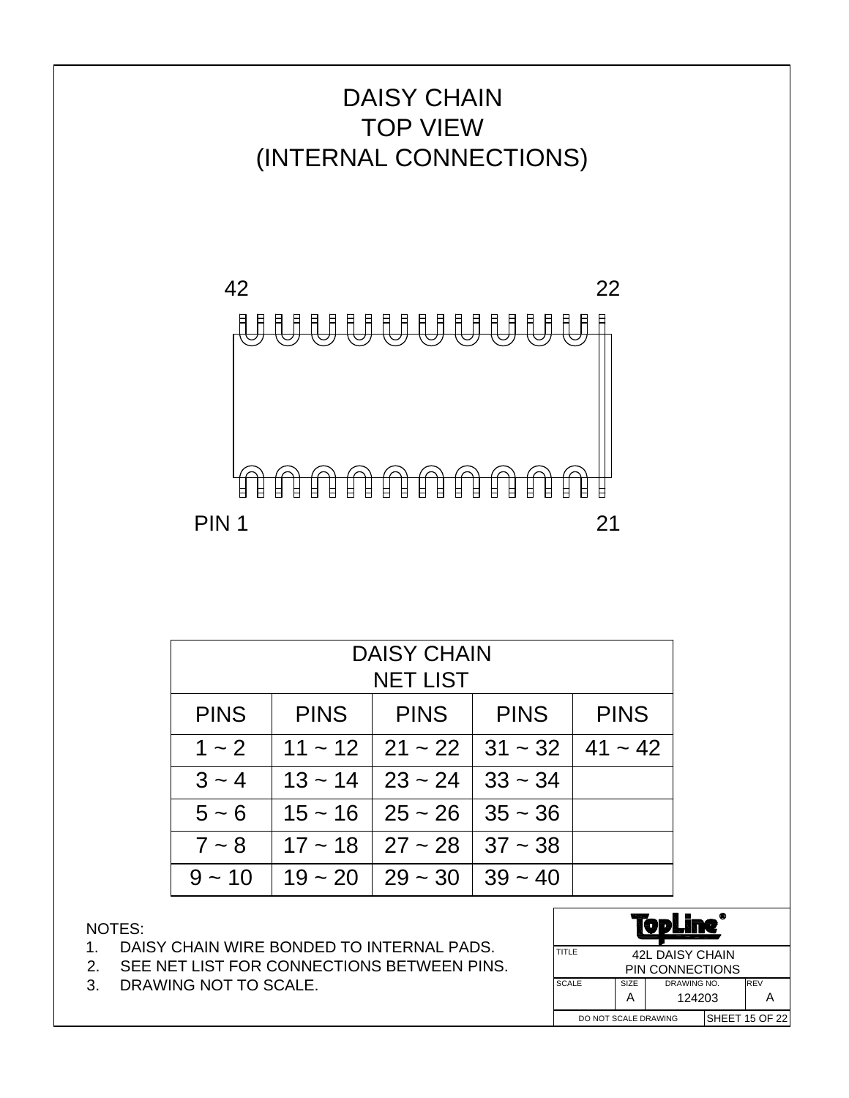

PIN 1

| <b>DAISY CHAIN</b><br><b>NET LIST</b>                                   |           |           |           |           |  |
|-------------------------------------------------------------------------|-----------|-----------|-----------|-----------|--|
| <b>PINS</b><br><b>PINS</b><br><b>PINS</b><br><b>PINS</b><br><b>PINS</b> |           |           |           |           |  |
| $1 - 2$                                                                 | $11 - 12$ | $21 - 22$ | $31 - 32$ | $41 - 42$ |  |
| $3 - 4$                                                                 | $13 - 14$ | $23 - 24$ | $33 - 34$ |           |  |
| $5 - 6$                                                                 | $15 - 16$ | $25 - 26$ | $35 - 36$ |           |  |
| $7 - 8$                                                                 | $17 - 18$ | $27 - 28$ | $37 - 38$ |           |  |
| $9 - 10$                                                                | $19 - 20$ | $29 - 30$ | $39 - 40$ |           |  |

- 1. DAISY CHAIN WIRE BONDED TO INTERNAL PADS.
- 2. SEE NET LIST FOR CONNECTIONS BETWEEN PINS.
- 3. DRAWING NOT TO SCALE.

| TITLE                |                  | <b>42L DAISY CHAIN</b> |  |                       |
|----------------------|------------------|------------------------|--|-----------------------|
|                      |                  | <b>PIN CONNECTIONS</b> |  |                       |
| <b>SCALE</b>         | SIZE             | DRAWING NO.            |  | <b>IREV</b>           |
|                      | 124203<br>А<br>А |                        |  |                       |
| DO NOT SCALE DRAWING |                  |                        |  | <b>SHEET 15 OF 22</b> |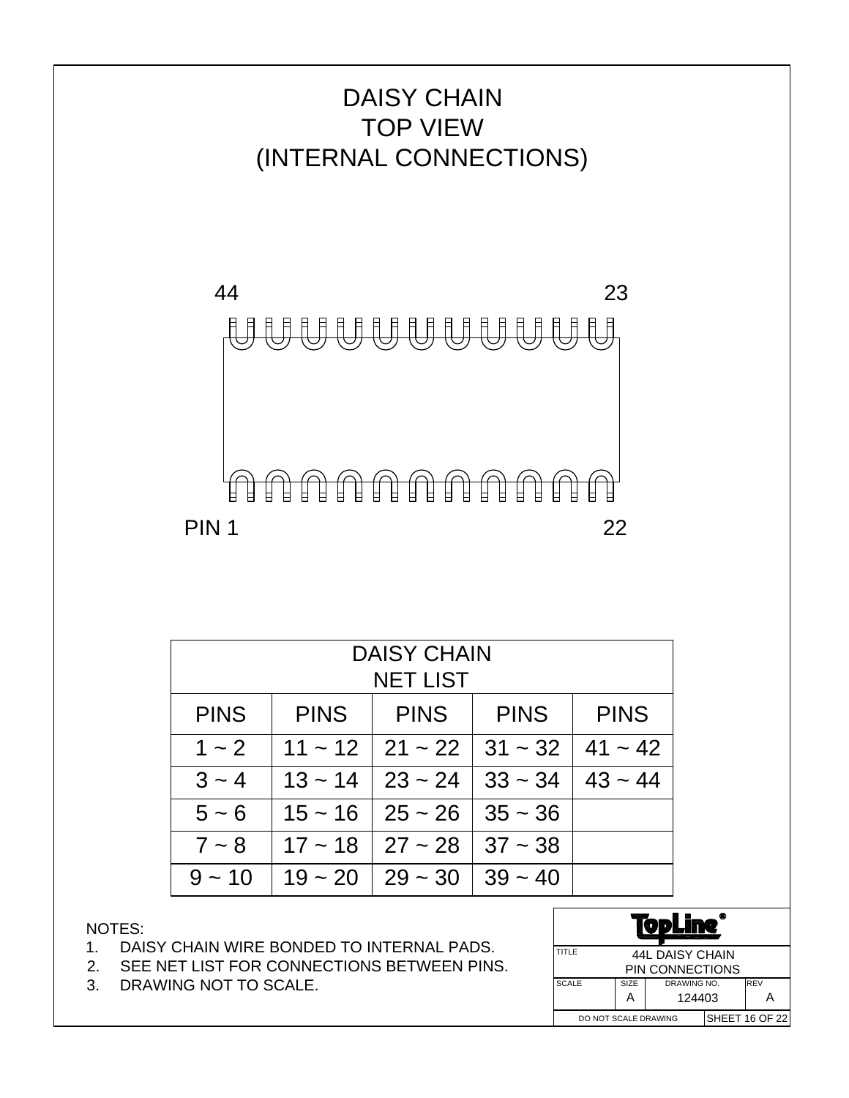

| <b>DAISY CHAIN</b><br><b>NET LIST</b>                                   |              |           |              |           |  |
|-------------------------------------------------------------------------|--------------|-----------|--------------|-----------|--|
| <b>PINS</b><br><b>PINS</b><br><b>PINS</b><br><b>PINS</b><br><b>PINS</b> |              |           |              |           |  |
| $1 - 2$                                                                 | $11 \sim 12$ | $21 - 22$ | $31 - 32$    | $41 - 42$ |  |
| $3 - 4$                                                                 | $13 - 14$    | $23 - 24$ | $33 \sim 34$ | $43 - 44$ |  |
| $5 - 6$                                                                 | $15 - 16$    | $25 - 26$ | $35 - 36$    |           |  |
| $7 - 8$                                                                 | $17 - 18$    | $27 - 28$ | $37 - 38$    |           |  |
| $9 - 10$                                                                | $19 - 20$    | $29 - 30$ | $39 - 40$    |           |  |

- 1. DAISY CHAIN WIRE BONDED TO INTERNAL PADS.
- 2. SEE NET LIST FOR CONNECTIONS BETWEEN PINS.
- 3. DRAWING NOT TO SCALE.

| TITLE                |                  | <b>44L DAISY CHAIN</b> |  |                |
|----------------------|------------------|------------------------|--|----------------|
|                      |                  | <b>PIN CONNECTIONS</b> |  |                |
| <b>SCALE</b>         | SIZE             | DRAWING NO.            |  | <b>IREV</b>    |
|                      | 124403<br>А<br>А |                        |  |                |
| DO NOT SCALE DRAWING |                  |                        |  | SHEET 16 OF 22 |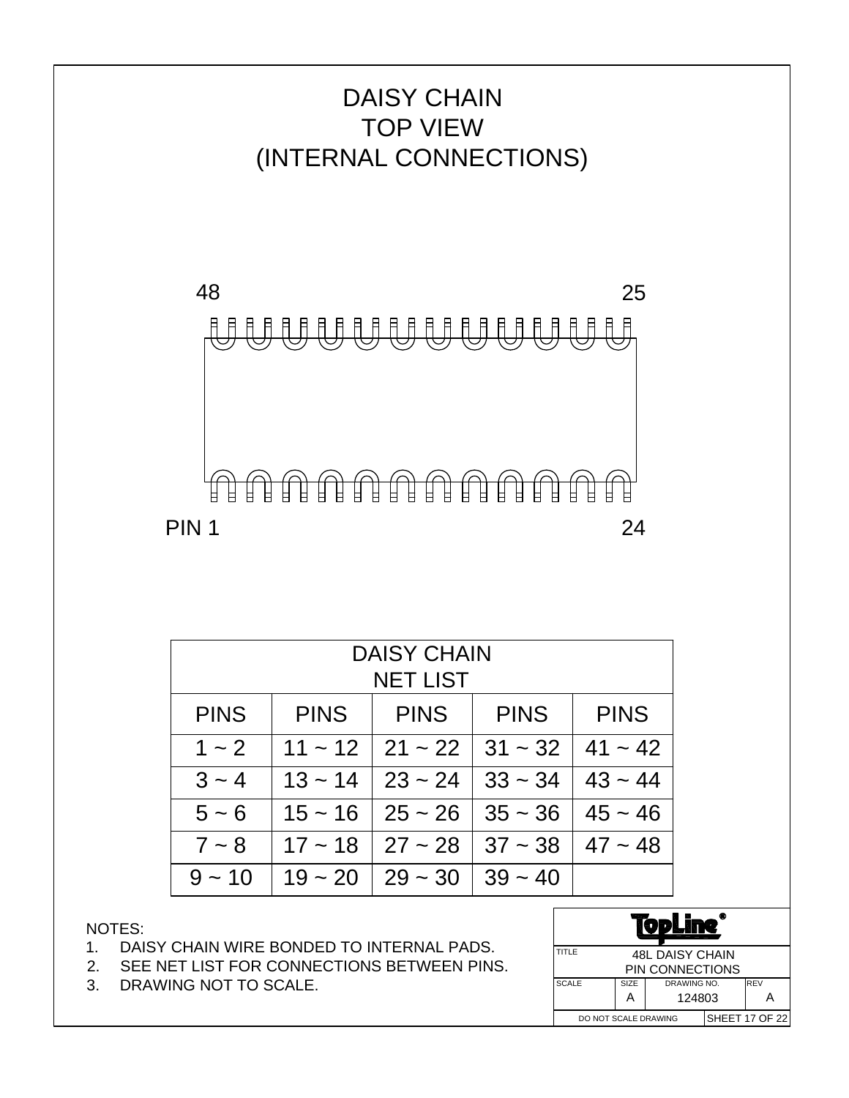

| <b>DAISY CHAIN</b><br><b>NET LIST</b>                                   |           |           |           |           |  |
|-------------------------------------------------------------------------|-----------|-----------|-----------|-----------|--|
| <b>PINS</b><br><b>PINS</b><br><b>PINS</b><br><b>PINS</b><br><b>PINS</b> |           |           |           |           |  |
| $1 - 2$                                                                 | $11 - 12$ | $21 - 22$ | $31 - 32$ | $41 - 42$ |  |
| $3 - 4$                                                                 | $13 - 14$ | $23 - 24$ | $33 - 34$ | $43 - 44$ |  |
| $5 - 6$                                                                 | $15 - 16$ | $25 - 26$ | $35 - 36$ | $45 - 46$ |  |
| $7 - 8$                                                                 | $17 - 18$ | $27 - 28$ | $37 - 38$ | $47 - 48$ |  |
| $9 - 10$                                                                | $19 - 20$ | $29 - 30$ | $39 - 40$ |           |  |

- 1. DAISY CHAIN WIRE BONDED TO INTERNAL PADS.
- 2. SEE NET LIST FOR CONNECTIONS BETWEEN PINS.
- 3. DRAWING NOT TO SCALE.

|                      |      | VDLI                   |  |                       |
|----------------------|------|------------------------|--|-----------------------|
| TITLE                |      | <b>48L DAISY CHAIN</b> |  |                       |
|                      |      | PIN CONNECTIONS        |  |                       |
| <b>SCALE</b>         | SIZE | DRAWING NO.            |  | <b>IREV</b>           |
|                      | А    | 124803                 |  |                       |
| DO NOT SCALE DRAWING |      |                        |  | <b>SHEET 17 OF 22</b> |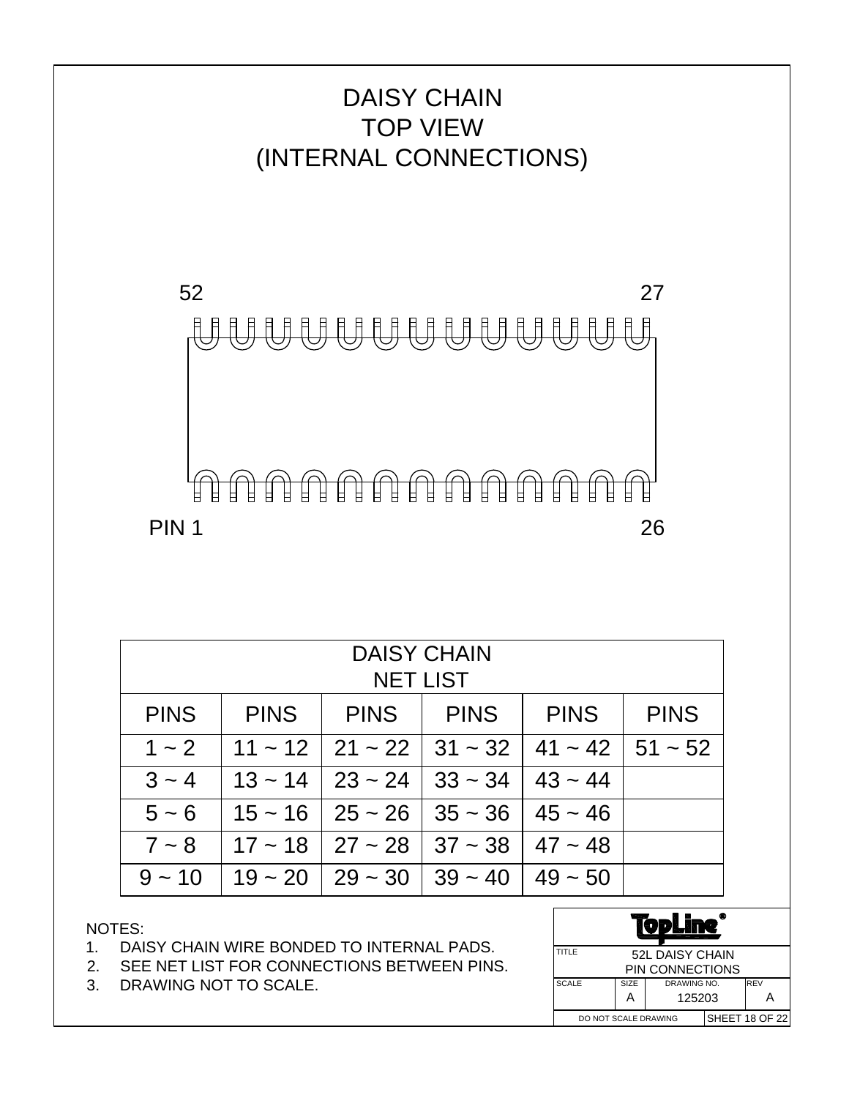

| <b>DAISY CHAIN</b><br><b>NET LIST</b> |                                                                         |                                            |  |                        |  |  |  |
|---------------------------------------|-------------------------------------------------------------------------|--------------------------------------------|--|------------------------|--|--|--|
| <b>PINS</b>                           | <b>PINS</b><br><b>PINS</b><br><b>PINS</b><br><b>PINS</b><br><b>PINS</b> |                                            |  |                        |  |  |  |
| $1 - 2$                               |                                                                         | $11 \sim 12$   21 ~ 22   31 ~ 32           |  | $41 \sim 42$   51 ~ 52 |  |  |  |
| $3 - 4$                               |                                                                         | $13 \sim 14$   23 ~ 24   33 ~ 34           |  | $43 - 44$              |  |  |  |
| $5 - 6$                               |                                                                         | $15 \sim 16$   25 ~ 26   35 ~ 36           |  | $45 - 46$              |  |  |  |
| $7 - 8$                               |                                                                         | $17 \sim 18$   27 ~ 28   37 ~ 38           |  | $47 - 48$              |  |  |  |
| $9 - 10$                              |                                                                         | $19 \sim 20$   29 $\sim 30$   39 $\sim 40$ |  | $49 - 50$              |  |  |  |

- 1. DAISY CHAIN WIRE BONDED TO INTERNAL PADS.
- 2. SEE NET LIST FOR CONNECTIONS BETWEEN PINS.
- 3. DRAWING NOT TO SCALE.

|              |                      | VDL             |  |                       |
|--------------|----------------------|-----------------|--|-----------------------|
| TITLE        |                      | 52L DAISY CHAIN |  |                       |
|              |                      | PIN CONNECTIONS |  |                       |
| <b>SCALE</b> | SIZE                 | DRAWING NO.     |  | <b>REV</b>            |
|              | 125203<br>А          |                 |  | А                     |
|              | DO NOT SCALE DRAWING |                 |  | <b>SHEET 18 OF 22</b> |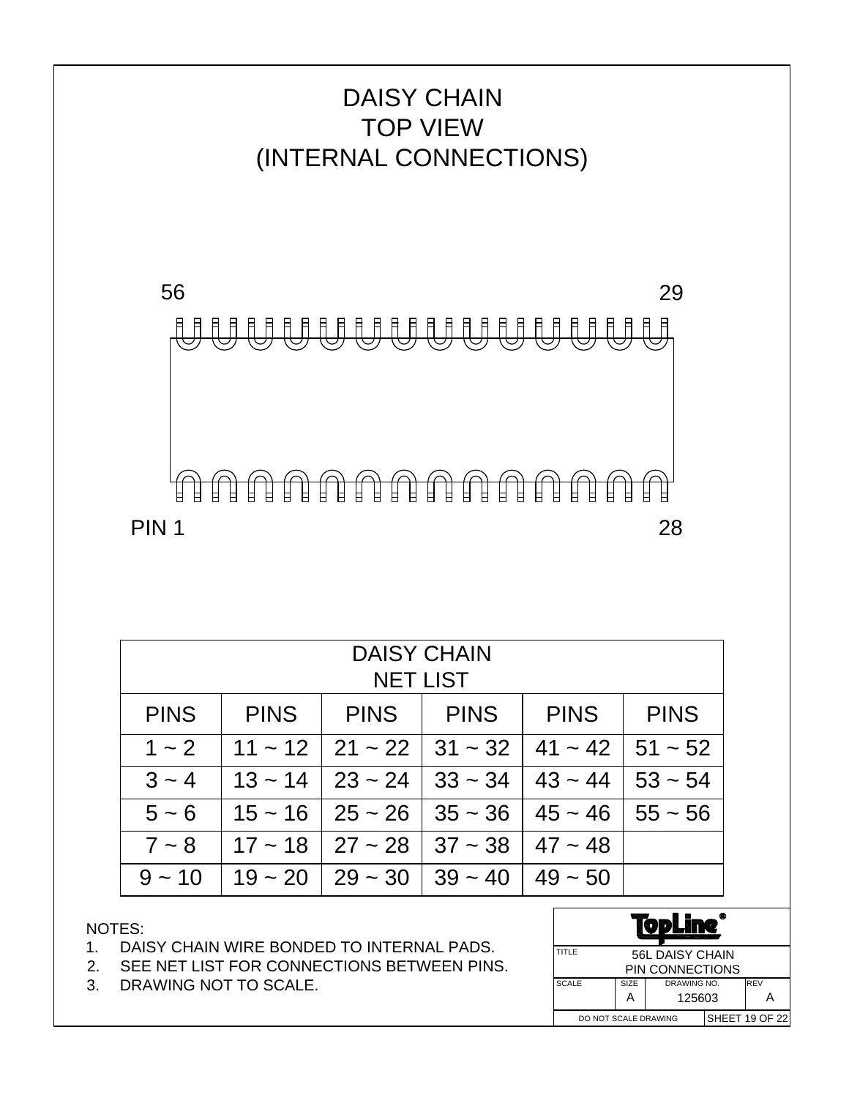

| <b>DAISY CHAIN</b><br><b>NET LIST</b>                                                  |  |                                   |              |           |                             |  |  |
|----------------------------------------------------------------------------------------|--|-----------------------------------|--------------|-----------|-----------------------------|--|--|
| <b>PINS</b><br><b>PINS</b><br><b>PINS</b><br><b>PINS</b><br><b>PINS</b><br><b>PINS</b> |  |                                   |              |           |                             |  |  |
| $1 - 2$                                                                                |  | $11 \sim 12$   21 ~ 22   31 ~ 32  |              | $41 - 42$ | $51 - 52$                   |  |  |
| $3 - 4$                                                                                |  | $13 \sim 14$   23 ~ 24            | $33 \sim 34$ | $43 - 44$ | $53 - 54$                   |  |  |
| $5 - 6$                                                                                |  | $15 \sim 16$   25 ~ 26   35 ~ 36  |              |           | $45 \sim 46$   55 $\sim 56$ |  |  |
| $7 - 8$                                                                                |  | $17 \sim 18$   27 ~ 28   37 ~ 38  |              | $47 - 48$ |                             |  |  |
| $9 - 10$                                                                               |  | $19 \sim 20 \mid 29 \sim 30 \mid$ | $139 - 40$   | $49 - 50$ |                             |  |  |

- 1. DAISY CHAIN WIRE BONDED TO INTERNAL PADS.
- 2. SEE NET LIST FOR CONNECTIONS BETWEEN PINS.
- 3. DRAWING NOT TO SCALE.

| VDL          |                      |                        |  |                       |
|--------------|----------------------|------------------------|--|-----------------------|
| TITLE        |                      | <b>56L DAISY CHAIN</b> |  |                       |
|              |                      | PIN CONNECTIONS        |  |                       |
| <b>SCALE</b> | SIZE                 | DRAWING NO.            |  | <b>REV</b>            |
|              | 125603<br>А<br>А     |                        |  |                       |
|              | DO NOT SCALE DRAWING |                        |  | <b>SHEET 19 OF 22</b> |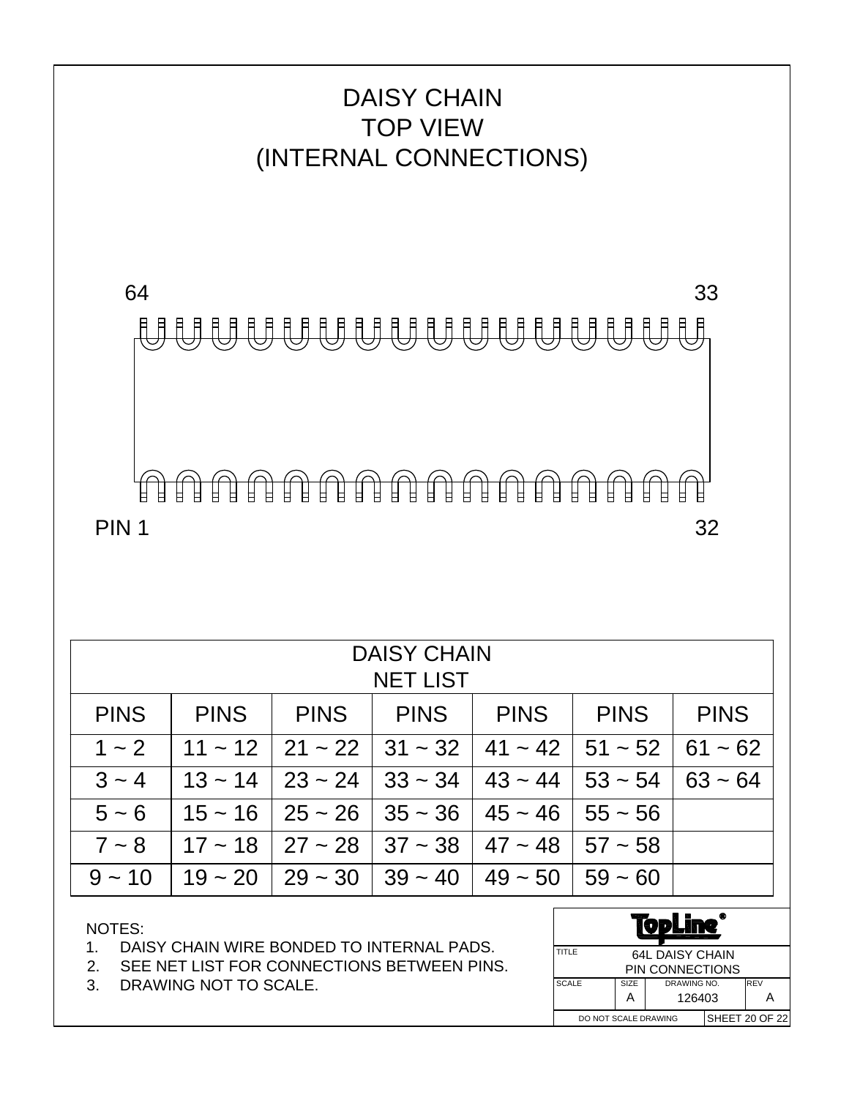

| <b>DAISY CHAIN</b><br><b>NET LIST</b> |             |                                                                |             |                                                           |             |             |
|---------------------------------------|-------------|----------------------------------------------------------------|-------------|-----------------------------------------------------------|-------------|-------------|
| <b>PINS</b>                           | <b>PINS</b> |                                                                | PINS   PINS | I PINS I                                                  | <b>PINS</b> | <b>PINS</b> |
| $1 - 2$                               |             | $11 \sim 12$   21 ~ 22   31 ~ 32   41 ~ 42   51 ~ 52   61 ~ 62 |             |                                                           |             |             |
| $3 - 4$                               |             | $13 \sim 14$   23 ~ 24   33 ~ 34   43 ~ 44   53 ~ 54   63 ~ 64 |             |                                                           |             |             |
| $5 - 6$                               |             | $15 \sim 16$   25 ~ 26   35 ~ 36   45 ~ 46   55 ~ 56           |             |                                                           |             |             |
| $7 - 8$                               |             | $17 \sim 18$   27 ~ 28   37 ~ 38   47 ~ 48   57 ~ 58           |             |                                                           |             |             |
| $9 - 10$                              | $19 - 20$   |                                                                |             | $29 \sim 30$   39 $\sim 40$   49 $\sim 50$   59 $\sim 60$ |             |             |

- 1. DAISY CHAIN WIRE BONDED TO INTERNAL PADS.
- 2. SEE NET LIST FOR CONNECTIONS BETWEEN PINS.
- 3. DRAWING NOT TO SCALE.

| VPL                             |      |             |             |                       |  |
|---------------------------------|------|-------------|-------------|-----------------------|--|
| TITLE<br><b>64L DAISY CHAIN</b> |      |             |             |                       |  |
| PIN CONNECTIONS                 |      |             |             |                       |  |
| <b>SCALE</b>                    | SIZE | DRAWING NO. | <b>IREV</b> |                       |  |
|                                 | А    | 126403      |             |                       |  |
| DO NOT SCALE DRAWING            |      |             |             | <b>SHEET 20 OF 22</b> |  |